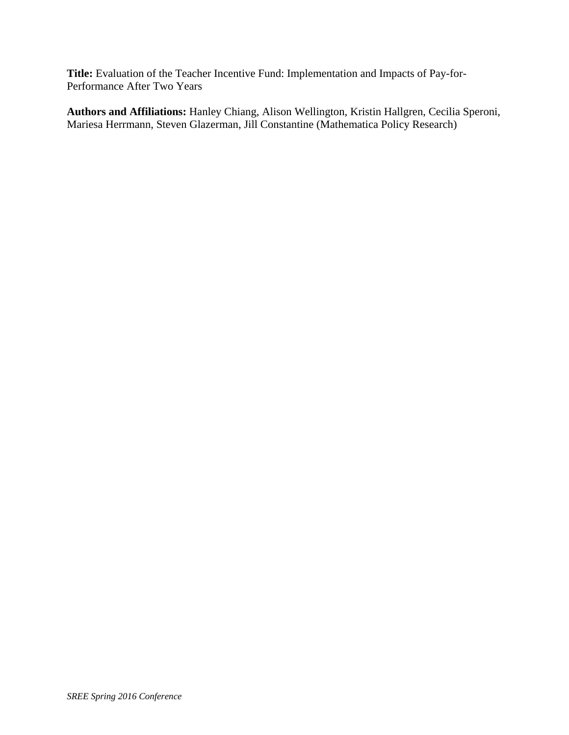**Title:** Evaluation of the Teacher Incentive Fund: Implementation and Impacts of Pay-for-Performance After Two Years

**Authors and Affiliations:** Hanley Chiang, Alison Wellington, Kristin Hallgren, Cecilia Speroni, Mariesa Herrmann, Steven Glazerman, Jill Constantine (Mathematica Policy Research)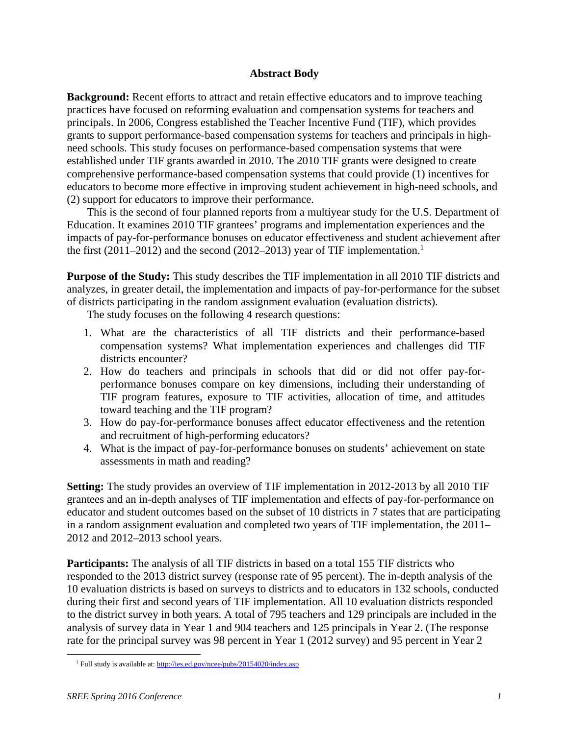#### **Abstract Body**

**Background:** Recent efforts to attract and retain effective educators and to improve teaching practices have focused on reforming evaluation and compensation systems for teachers and principals. In 2006, Congress established the Teacher Incentive Fund (TIF), which provides grants to support performance-based compensation systems for teachers and principals in highneed schools. This study focuses on performance-based compensation systems that were established under TIF grants awarded in 2010. The 2010 TIF grants were designed to create comprehensive performance-based compensation systems that could provide (1) incentives for educators to become more effective in improving student achievement in high-need schools, and (2) support for educators to improve their performance.

This is the second of four planned reports from a multiyear study for the U.S. Department of Education. It examines 2010 TIF grantees' programs and implementation experiences and the impacts of pay-for-performance bonuses on educator effectiveness and student achievement after the first (2011–2012) and the second (2012–2013) year of TIF implementation.<sup>1</sup>

**Purpose of the Study:** This study describes the TIF implementation in all 2010 TIF districts and analyzes, in greater detail, the implementation and impacts of pay-for-performance for the subset of districts participating in the random assignment evaluation (evaluation districts).

The study focuses on the following 4 research questions:

- 1. What are the characteristics of all TIF districts and their performance-based compensation systems? What implementation experiences and challenges did TIF districts encounter?
- 2. How do teachers and principals in schools that did or did not offer pay-forperformance bonuses compare on key dimensions, including their understanding of TIF program features, exposure to TIF activities, allocation of time, and attitudes toward teaching and the TIF program?
- 3. How do pay-for-performance bonuses affect educator effectiveness and the retention and recruitment of high-performing educators?
- 4. What is the impact of pay-for-performance bonuses on students' achievement on state assessments in math and reading?

**Setting:** The study provides an overview of TIF implementation in 2012-2013 by all 2010 TIF grantees and an in-depth analyses of TIF implementation and effects of pay-for-performance on educator and student outcomes based on the subset of 10 districts in 7 states that are participating in a random assignment evaluation and completed two years of TIF implementation, the 2011– 2012 and 2012–2013 school years.

**Participants:** The analysis of all TIF districts in based on a total 155 TIF districts who responded to the 2013 district survey (response rate of 95 percent). The in-depth analysis of the 10 evaluation districts is based on surveys to districts and to educators in 132 schools, conducted during their first and second years of TIF implementation. All 10 evaluation districts responded to the district survey in both years. A total of 795 teachers and 129 principals are included in the analysis of survey data in Year 1 and 904 teachers and 125 principals in Year 2. (The response rate for the principal survey was 98 percent in Year 1 (2012 survey) and 95 percent in Year 2

 <sup>1</sup> Full study is available at: http://ies.ed.gov/ncee/pubs/20154020/index.asp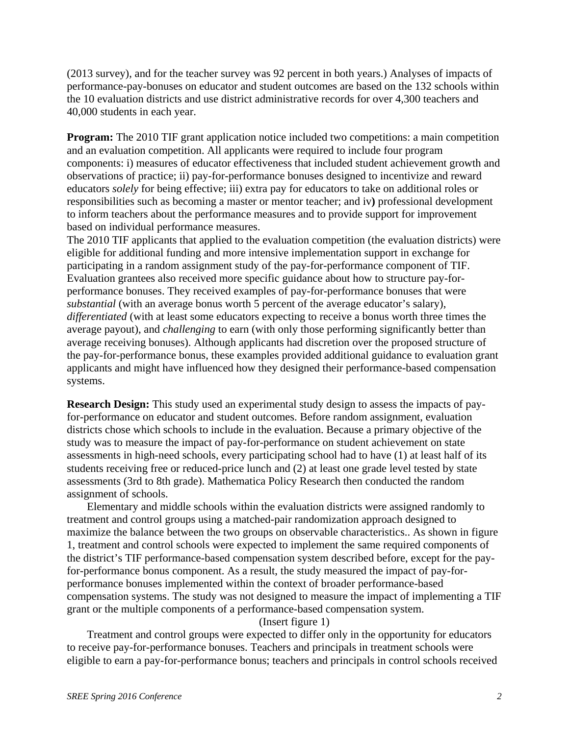(2013 survey), and for the teacher survey was 92 percent in both years.) Analyses of impacts of performance-pay-bonuses on educator and student outcomes are based on the 132 schools within the 10 evaluation districts and use district administrative records for over 4,300 teachers and 40,000 students in each year.

**Program:** The 2010 TIF grant application notice included two competitions: a main competition and an evaluation competition. All applicants were required to include four program components: i) measures of educator effectiveness that included student achievement growth and observations of practice; ii) pay-for-performance bonuses designed to incentivize and reward educators *solely* for being effective; iii) extra pay for educators to take on additional roles or responsibilities such as becoming a master or mentor teacher; and iv**)** professional development to inform teachers about the performance measures and to provide support for improvement based on individual performance measures.

The 2010 TIF applicants that applied to the evaluation competition (the evaluation districts) were eligible for additional funding and more intensive implementation support in exchange for participating in a random assignment study of the pay-for-performance component of TIF. Evaluation grantees also received more specific guidance about how to structure pay-forperformance bonuses. They received examples of pay-for-performance bonuses that were *substantial* (with an average bonus worth 5 percent of the average educator's salary), *differentiated* (with at least some educators expecting to receive a bonus worth three times the average payout), and *challenging* to earn (with only those performing significantly better than average receiving bonuses). Although applicants had discretion over the proposed structure of the pay-for-performance bonus, these examples provided additional guidance to evaluation grant applicants and might have influenced how they designed their performance-based compensation systems.

**Research Design:** This study used an experimental study design to assess the impacts of payfor-performance on educator and student outcomes. Before random assignment, evaluation districts chose which schools to include in the evaluation. Because a primary objective of the study was to measure the impact of pay-for-performance on student achievement on state assessments in high-need schools, every participating school had to have (1) at least half of its students receiving free or reduced-price lunch and (2) at least one grade level tested by state assessments (3rd to 8th grade). Mathematica Policy Research then conducted the random assignment of schools.

Elementary and middle schools within the evaluation districts were assigned randomly to treatment and control groups using a matched-pair randomization approach designed to maximize the balance between the two groups on observable characteristics.. As shown in figure 1, treatment and control schools were expected to implement the same required components of the district's TIF performance-based compensation system described before, except for the payfor-performance bonus component. As a result, the study measured the impact of pay-forperformance bonuses implemented within the context of broader performance-based compensation systems. The study was not designed to measure the impact of implementing a TIF grant or the multiple components of a performance-based compensation system.

#### (Insert figure 1)

Treatment and control groups were expected to differ only in the opportunity for educators to receive pay-for-performance bonuses. Teachers and principals in treatment schools were eligible to earn a pay-for-performance bonus; teachers and principals in control schools received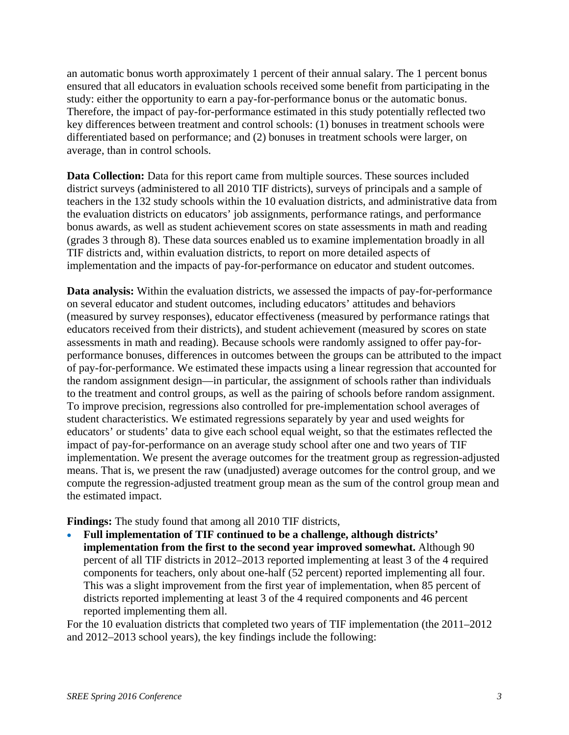an automatic bonus worth approximately 1 percent of their annual salary. The 1 percent bonus ensured that all educators in evaluation schools received some benefit from participating in the study: either the opportunity to earn a pay-for-performance bonus or the automatic bonus. Therefore, the impact of pay-for-performance estimated in this study potentially reflected two key differences between treatment and control schools: (1) bonuses in treatment schools were differentiated based on performance; and (2) bonuses in treatment schools were larger, on average, than in control schools.

**Data Collection:** Data for this report came from multiple sources. These sources included district surveys (administered to all 2010 TIF districts), surveys of principals and a sample of teachers in the 132 study schools within the 10 evaluation districts, and administrative data from the evaluation districts on educators' job assignments, performance ratings, and performance bonus awards, as well as student achievement scores on state assessments in math and reading (grades 3 through 8). These data sources enabled us to examine implementation broadly in all TIF districts and, within evaluation districts, to report on more detailed aspects of implementation and the impacts of pay-for-performance on educator and student outcomes.

**Data analysis:** Within the evaluation districts, we assessed the impacts of pay-for-performance on several educator and student outcomes, including educators' attitudes and behaviors (measured by survey responses), educator effectiveness (measured by performance ratings that educators received from their districts), and student achievement (measured by scores on state assessments in math and reading). Because schools were randomly assigned to offer pay-forperformance bonuses, differences in outcomes between the groups can be attributed to the impact of pay-for-performance. We estimated these impacts using a linear regression that accounted for the random assignment design—in particular, the assignment of schools rather than individuals to the treatment and control groups, as well as the pairing of schools before random assignment. To improve precision, regressions also controlled for pre-implementation school averages of student characteristics. We estimated regressions separately by year and used weights for educators' or students' data to give each school equal weight, so that the estimates reflected the impact of pay-for-performance on an average study school after one and two years of TIF implementation. We present the average outcomes for the treatment group as regression-adjusted means. That is, we present the raw (unadjusted) average outcomes for the control group, and we compute the regression-adjusted treatment group mean as the sum of the control group mean and the estimated impact.

**Findings:** The study found that among all 2010 TIF districts,

 **Full implementation of TIF continued to be a challenge, although districts' implementation from the first to the second year improved somewhat.** Although 90 percent of all TIF districts in 2012–2013 reported implementing at least 3 of the 4 required components for teachers, only about one-half (52 percent) reported implementing all four. This was a slight improvement from the first year of implementation, when 85 percent of districts reported implementing at least 3 of the 4 required components and 46 percent reported implementing them all.

For the 10 evaluation districts that completed two years of TIF implementation (the 2011–2012 and 2012–2013 school years), the key findings include the following: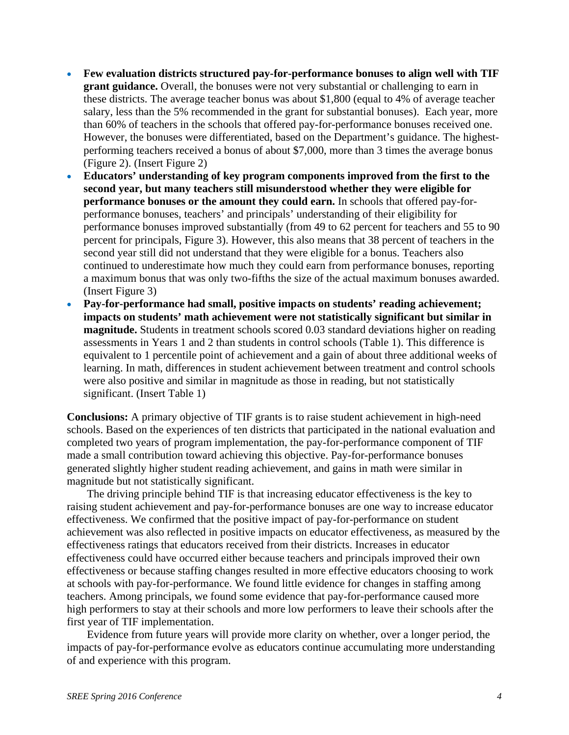- **Few evaluation districts structured pay-for-performance bonuses to align well with TIF grant guidance.** Overall, the bonuses were not very substantial or challenging to earn in these districts. The average teacher bonus was about \$1,800 (equal to 4% of average teacher salary, less than the 5% recommended in the grant for substantial bonuses). Each year, more than 60% of teachers in the schools that offered pay-for-performance bonuses received one. However, the bonuses were differentiated, based on the Department's guidance. The highestperforming teachers received a bonus of about \$7,000, more than 3 times the average bonus (Figure 2). (Insert Figure 2)
- **Educators' understanding of key program components improved from the first to the second year, but many teachers still misunderstood whether they were eligible for performance bonuses or the amount they could earn.** In schools that offered pay-forperformance bonuses, teachers' and principals' understanding of their eligibility for performance bonuses improved substantially (from 49 to 62 percent for teachers and 55 to 90 percent for principals, Figure 3). However, this also means that 38 percent of teachers in the second year still did not understand that they were eligible for a bonus. Teachers also continued to underestimate how much they could earn from performance bonuses, reporting a maximum bonus that was only two-fifths the size of the actual maximum bonuses awarded. (Insert Figure 3)
- **Pay-for-performance had small, positive impacts on students' reading achievement; impacts on students' math achievement were not statistically significant but similar in magnitude.** Students in treatment schools scored 0.03 standard deviations higher on reading assessments in Years 1 and 2 than students in control schools (Table 1). This difference is equivalent to 1 percentile point of achievement and a gain of about three additional weeks of learning. In math, differences in student achievement between treatment and control schools were also positive and similar in magnitude as those in reading, but not statistically significant. (Insert Table 1)

**Conclusions:** A primary objective of TIF grants is to raise student achievement in high-need schools. Based on the experiences of ten districts that participated in the national evaluation and completed two years of program implementation, the pay-for-performance component of TIF made a small contribution toward achieving this objective. Pay-for-performance bonuses generated slightly higher student reading achievement, and gains in math were similar in magnitude but not statistically significant.

The driving principle behind TIF is that increasing educator effectiveness is the key to raising student achievement and pay-for-performance bonuses are one way to increase educator effectiveness. We confirmed that the positive impact of pay-for-performance on student achievement was also reflected in positive impacts on educator effectiveness, as measured by the effectiveness ratings that educators received from their districts. Increases in educator effectiveness could have occurred either because teachers and principals improved their own effectiveness or because staffing changes resulted in more effective educators choosing to work at schools with pay-for-performance. We found little evidence for changes in staffing among teachers. Among principals, we found some evidence that pay-for-performance caused more high performers to stay at their schools and more low performers to leave their schools after the first year of TIF implementation.

Evidence from future years will provide more clarity on whether, over a longer period, the impacts of pay-for-performance evolve as educators continue accumulating more understanding of and experience with this program.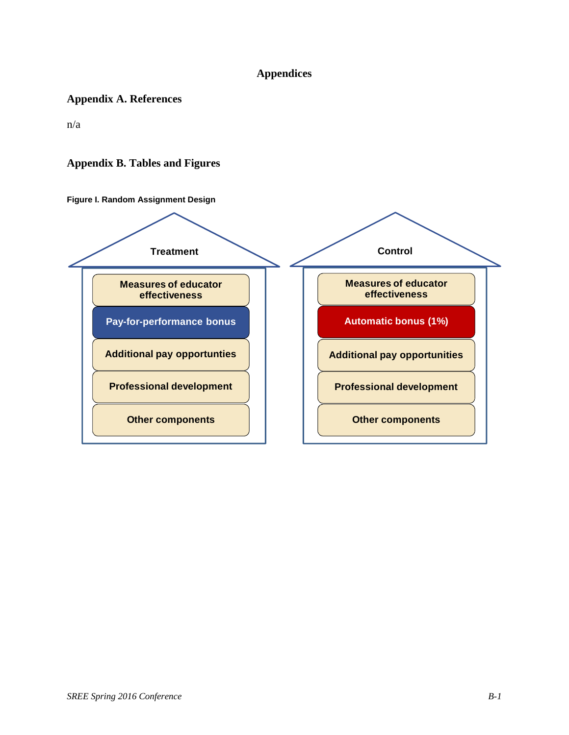# **Appendices**

## **Appendix A. References**

n/a

## **Appendix B. Tables and Figures**

**Figure I. Random Assignment Design** 

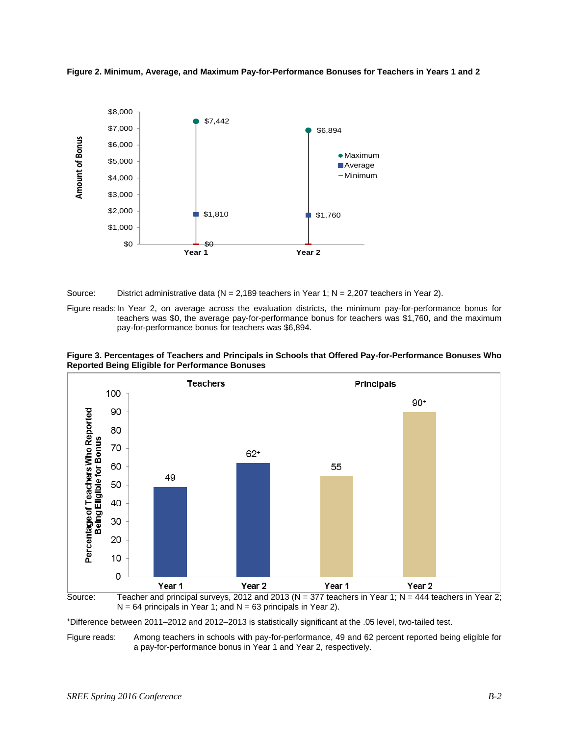



Source: District administrative data ( $N = 2,189$  teachers in Year 1;  $N = 2,207$  teachers in Year 2).

Figure reads: In Year 2, on average across the evaluation districts, the minimum pay-for-performance bonus for teachers was \$0, the average pay-for-performance bonus for teachers was \$1,760, and the maximum pay-for-performance bonus for teachers was \$6,894.







+Difference between 2011–2012 and 2012–2013 is statistically significant at the .05 level, two-tailed test.

Figure reads: Among teachers in schools with pay-for-performance, 49 and 62 percent reported being eligible for a pay-for-performance bonus in Year 1 and Year 2, respectively.